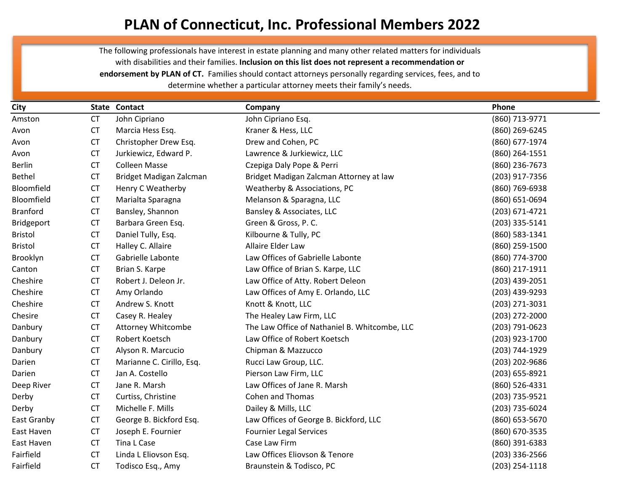## **PLAN of Connecticut, Inc. Professional Members 2022**

The following professionals have interest in estate planning and many other related matters for individuals with disabilities and their families. **Inclusion on this list does not represent a recommendation or endorsement by PLAN of CT.** Families should contact attorneys personally regarding services, fees, and to determine whether a particular attorney meets their family's needs.

| City           |           | State Contact             | Company                                       | Phone              |
|----------------|-----------|---------------------------|-----------------------------------------------|--------------------|
| Amston         | <b>CT</b> | John Cipriano             | John Cipriano Esq.                            | (860) 713-9771     |
| Avon           | <b>CT</b> | Marcia Hess Esq.          | Kraner & Hess, LLC                            | (860) 269-6245     |
| Avon           | <b>CT</b> | Christopher Drew Esq.     | Drew and Cohen, PC                            | (860) 677-1974     |
| Avon           | <b>CT</b> | Jurkiewicz, Edward P.     | Lawrence & Jurkiewicz, LLC                    | (860) 264-1551     |
| <b>Berlin</b>  | <b>CT</b> | <b>Colleen Masse</b>      | Czepiga Daly Pope & Perri                     | (860) 236-7673     |
| Bethel         | <b>CT</b> | Bridget Madigan Zalcman   | Bridget Madigan Zalcman Attorney at law       | (203) 917-7356     |
| Bloomfield     | <b>CT</b> | Henry C Weatherby         | Weatherby & Associations, PC                  | (860) 769-6938     |
| Bloomfield     | <b>CT</b> | Marialta Sparagna         | Melanson & Sparagna, LLC                      | (860) 651-0694     |
| Branford       | <b>CT</b> | Bansley, Shannon          | Bansley & Associates, LLC                     | $(203) 671 - 4721$ |
| Bridgeport     | <b>CT</b> | Barbara Green Esq.        | Green & Gross, P. C.                          | (203) 335-5141     |
| <b>Bristol</b> | <b>CT</b> | Daniel Tully, Esq.        | Kilbourne & Tully, PC                         | (860) 583-1341     |
| <b>Bristol</b> | <b>CT</b> | Halley C. Allaire         | Allaire Elder Law                             | (860) 259-1500     |
| Brooklyn       | <b>CT</b> | Gabrielle Labonte         | Law Offices of Gabrielle Labonte              | (860) 774-3700     |
| Canton         | <b>CT</b> | Brian S. Karpe            | Law Office of Brian S. Karpe, LLC             | (860) 217-1911     |
| Cheshire       | <b>CT</b> | Robert J. Deleon Jr.      | Law Office of Atty. Robert Deleon             | (203) 439-2051     |
| Cheshire       | <b>CT</b> | Amy Orlando               | Law Offices of Amy E. Orlando, LLC            | (203) 439-9293     |
| Cheshire       | <b>CT</b> | Andrew S. Knott           | Knott & Knott, LLC                            | (203) 271-3031     |
| Chesire        | <b>CT</b> | Casey R. Healey           | The Healey Law Firm, LLC                      | (203) 272-2000     |
| Danbury        | <b>CT</b> | <b>Attorney Whitcombe</b> | The Law Office of Nathaniel B. Whitcombe, LLC | (203) 791-0623     |
| Danbury        | <b>CT</b> | Robert Koetsch            | Law Office of Robert Koetsch                  | (203) 923-1700     |
| Danbury        | <b>CT</b> | Alyson R. Marcucio        | Chipman & Mazzucco                            | (203) 744-1929     |
| Darien         | <b>CT</b> | Marianne C. Cirillo, Esq. | Rucci Law Group, LLC.                         | (203) 202-9686     |
| Darien         | <b>CT</b> | Jan A. Costello           | Pierson Law Firm, LLC                         | (203) 655-8921     |
| Deep River     | <b>CT</b> | Jane R. Marsh             | Law Offices of Jane R. Marsh                  | (860) 526-4331     |
| Derby          | <b>CT</b> | Curtiss, Christine        | <b>Cohen and Thomas</b>                       | (203) 735-9521     |
| Derby          | <b>CT</b> | Michelle F. Mills         | Dailey & Mills, LLC                           | (203) 735-6024     |
| East Granby    | <b>CT</b> | George B. Bickford Esq.   | Law Offices of George B. Bickford, LLC        | (860) 653-5670     |
| East Haven     | <b>CT</b> | Joseph E. Fournier        | <b>Fournier Legal Services</b>                | (860) 670-3535     |
| East Haven     | <b>CT</b> | Tina L Case               | Case Law Firm                                 | (860) 391-6383     |
| Fairfield      | <b>CT</b> | Linda L Eliovson Esq.     | Law Offices Eliovson & Tenore                 | $(203)$ 336-2566   |
| Fairfield      | <b>CT</b> | Todisco Esq., Amy         | Braunstein & Todisco, PC                      | (203) 254-1118     |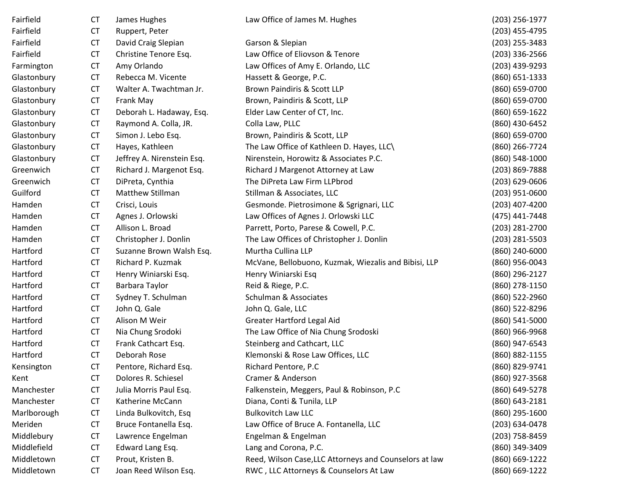| Fairfield   | СT        | James Hughes               | Law Office of James M. Hughes                          | (203) 256-1977   |
|-------------|-----------|----------------------------|--------------------------------------------------------|------------------|
| Fairfield   | <b>CT</b> | Ruppert, Peter             |                                                        | (203) 455-4795   |
| Fairfield   | <b>CT</b> | David Craig Slepian        | Garson & Slepian                                       | (203) 255-3483   |
| Fairfield   | <b>CT</b> | Christine Tenore Esq.      | Law Office of Eliovson & Tenore                        | (203) 336-2566   |
| Farmington  | <b>CT</b> | Amy Orlando                | Law Offices of Amy E. Orlando, LLC                     | (203) 439-9293   |
| Glastonbury | <b>CT</b> | Rebecca M. Vicente         | Hassett & George, P.C.                                 | (860) 651-1333   |
| Glastonbury | <b>CT</b> | Walter A. Twachtman Jr.    | Brown Paindiris & Scott LLP                            | (860) 659-0700   |
| Glastonbury | <b>CT</b> | Frank May                  | Brown, Paindiris & Scott, LLP                          | (860) 659-0700   |
| Glastonbury | <b>CT</b> | Deborah L. Hadaway, Esq.   | Elder Law Center of CT, Inc.                           | (860) 659-1622   |
| Glastonbury | <b>CT</b> | Raymond A. Colla, JR.      | Colla Law, PLLC                                        | (860) 430-6452   |
| Glastonbury | <b>CT</b> | Simon J. Lebo Esq.         | Brown, Paindiris & Scott, LLP                          | (860) 659-0700   |
| Glastonbury | <b>CT</b> | Hayes, Kathleen            | The Law Office of Kathleen D. Hayes, LLC\              | (860) 266-7724   |
| Glastonbury | <b>CT</b> | Jeffrey A. Nirenstein Esq. | Nirenstein, Horowitz & Associates P.C.                 | (860) 548-1000   |
| Greenwich   | <b>CT</b> | Richard J. Margenot Esq.   | Richard J Margenot Attorney at Law                     | (203) 869-7888   |
| Greenwich   | <b>CT</b> | DiPreta, Cynthia           | The DiPreta Law Firm LLPbrod                           | $(203)$ 629-0606 |
| Guilford    | <b>CT</b> | Matthew Stillman           | Stillman & Associates, LLC                             | (203) 951-0600   |
| Hamden      | <b>CT</b> | Crisci, Louis              | Gesmonde. Pietrosimone & Sgrignari, LLC                | (203) 407-4200   |
| Hamden      | <b>CT</b> | Agnes J. Orlowski          | Law Offices of Agnes J. Orlowski LLC                   | (475) 441-7448   |
| Hamden      | <b>CT</b> | Allison L. Broad           | Parrett, Porto, Parese & Cowell, P.C.                  | (203) 281-2700   |
| Hamden      | <b>CT</b> | Christopher J. Donlin      | The Law Offices of Christopher J. Donlin               | (203) 281-5503   |
| Hartford    | <b>CT</b> | Suzanne Brown Walsh Esq.   | Murtha Cullina LLP                                     | (860) 240-6000   |
| Hartford    | <b>CT</b> | Richard P. Kuzmak          | McVane, Bellobuono, Kuzmak, Wiezalis and Bibisi, LLP   | (860) 956-0043   |
| Hartford    | <b>CT</b> | Henry Winiarski Esq.       | Henry Winiarski Esq                                    | (860) 296-2127   |
| Hartford    | <b>CT</b> | Barbara Taylor             | Reid & Riege, P.C.                                     | (860) 278-1150   |
| Hartford    | <b>CT</b> | Sydney T. Schulman         | Schulman & Associates                                  | (860) 522-2960   |
| Hartford    | <b>CT</b> | John Q. Gale               | John Q. Gale, LLC                                      | (860) 522-8296   |
| Hartford    | <b>CT</b> | Alison M Weir              | <b>Greater Hartford Legal Aid</b>                      | (860) 541-5000   |
| Hartford    | <b>CT</b> | Nia Chung Srodoki          | The Law Office of Nia Chung Srodoski                   | (860) 966-9968   |
| Hartford    | <b>CT</b> | Frank Cathcart Esq.        | Steinberg and Cathcart, LLC                            | (860) 947-6543   |
| Hartford    | <b>CT</b> | Deborah Rose               | Klemonski & Rose Law Offices, LLC                      | (860) 882-1155   |
| Kensington  | <b>CT</b> | Pentore, Richard Esq.      | Richard Pentore, P.C                                   | (860) 829-9741   |
| Kent        | CT.       | Dolores R. Schiesel        | Cramer & Anderson                                      | (860) 927-3568   |
| Manchester  | <b>CT</b> | Julia Morris Paul Esq.     | Falkenstein, Meggers, Paul & Robinson, P.C             | (860) 649-5278   |
| Manchester  | <b>CT</b> | Katherine McCann           | Diana, Conti & Tunila, LLP                             | (860) 643-2181   |
| Marlborough | <b>CT</b> | Linda Bulkovitch, Esq      | <b>Bulkovitch Law LLC</b>                              | (860) 295-1600   |
| Meriden     | <b>CT</b> | Bruce Fontanella Esq.      | Law Office of Bruce A. Fontanella, LLC                 | (203) 634-0478   |
| Middlebury  | <b>CT</b> | Lawrence Engelman          | Engelman & Engelman                                    | (203) 758-8459   |
| Middlefield | <b>CT</b> | Edward Lang Esq.           | Lang and Corona, P.C.                                  | (860) 349-3409   |
| Middletown  | <b>CT</b> | Prout, Kristen B.          | Reed, Wilson Case, LLC Attorneys and Counselors at law | (860) 669-1222   |
| Middletown  | CT        | Joan Reed Wilson Esq.      | RWC, LLC Attorneys & Counselors At Law                 | (860) 669-1222   |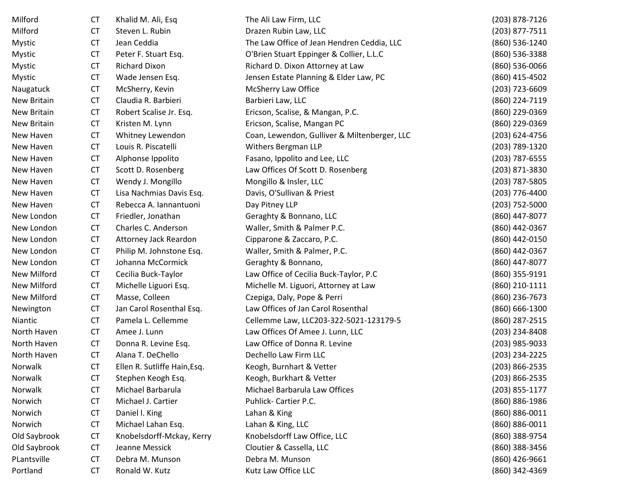| Milford      | <b>CT</b> | Khalid M. Ali, Esq           | The Ali Law Firm, LLC                        | (203) 878-7126   |
|--------------|-----------|------------------------------|----------------------------------------------|------------------|
| Milford      | <b>CT</b> | Steven L. Rubin              | Drazen Rubin Law, LLC                        | (203) 877-7511   |
| Mystic       | <b>CT</b> | Jean Ceddia                  | The Law Office of Jean Hendren Ceddia, LLC   | (860) 536-1240   |
| Mystic       | <b>CT</b> | Peter F. Stuart Esq.         | O'Brien Stuart Eppinger & Collier, L.L.C     | (860) 536-3388   |
| Mystic       | <b>CT</b> | <b>Richard Dixon</b>         | Richard D. Dixon Attorney at Law             | (860) 536-0066   |
| Mystic       | <b>CT</b> | Wade Jensen Esq.             | Jensen Estate Planning & Elder Law, PC       | (860) 415-4502   |
| Naugatuck    | <b>CT</b> | McSherry, Kevin              | McSherry Law Office                          | (203) 723-6609   |
| New Britain  | <b>CT</b> | Claudia R. Barbieri          | Barbieri Law, LLC                            | (860) 224-7119   |
| New Britain  | <b>CT</b> | Robert Scalise Jr. Esq.      | Ericson, Scalise, & Mangan, P.C.             | (860) 229-0369   |
| New Britain  | <b>CT</b> | Kristen M. Lynn              | Ericson, Scalise, Mangan PC                  | (860) 229-0369   |
| New Haven    | <b>CT</b> | Whitney Lewendon             | Coan, Lewendon, Gulliver & Miltenberger, LLC | (203) 624-4756   |
| New Haven    | <b>CT</b> | Louis R. Piscatelli          | Withers Bergman LLP                          | (203) 789-1320   |
| New Haven    | <b>CT</b> | Alphonse Ippolito            | Fasano, Ippolito and Lee, LLC                | (203) 787-6555   |
| New Haven    | <b>CT</b> | Scott D. Rosenberg           | Law Offices Of Scott D. Rosenberg            | (203) 871-3830   |
| New Haven    | <b>CT</b> | Wendy J. Mongillo            | Mongillo & Insler, LLC                       | (203) 787-5805   |
| New Haven    | <b>CT</b> | Lisa Nachmias Davis Esq.     | Davis, O'Sullivan & Priest                   | (203) 776-4400   |
| New Haven    | <b>CT</b> | Rebecca A. Iannantuoni       | Day Pitney LLP                               | (203) 752-5000   |
| New London   | <b>CT</b> | Friedler, Jonathan           | Geraghty & Bonnano, LLC                      | (860) 447-8077   |
| New London   | <b>CT</b> | Charles C. Anderson          | Waller, Smith & Palmer P.C.                  | (860) 442-0367   |
| New London   | <b>CT</b> | Attorney Jack Reardon        | Cipparone & Zaccaro, P.C.                    | (860) 442-0150   |
| New London   | <b>CT</b> | Philip M. Johnstone Esq.     | Waller, Smith & Palmer, P.C.                 | (860) 442-0367   |
| New London   | <b>CT</b> | Johanna McCormick            | Geraghty & Bonnano,                          | (860) 447-8077   |
| New Milford  | <b>CT</b> | Cecilia Buck-Taylor          | Law Office of Cecilia Buck-Taylor, P.C       | (860) 355-9191   |
| New Milford  | <b>CT</b> | Michelle Liguori Esq.        | Michelle M. Liguori, Attorney at Law         | (860) 210-1111   |
| New Milford  | <b>CT</b> | Masse, Colleen               | Czepiga, Daly, Pope & Perri                  | (860) 236-7673   |
| Newington    | <b>CT</b> | Jan Carol Rosenthal Esq.     | Law Offices of Jan Carol Rosenthal           | (860) 666-1300   |
| Niantic      | <b>CT</b> | Pamela L. Cellemme           | Cellemme Law, LLC203-322-5021-123179-5       | (860) 287-2515   |
| North Haven  | <b>CT</b> | Amee J. Lunn                 | Law Offices Of Amee J. Lunn, LLC             | (203) 234-8408   |
| North Haven  | <b>CT</b> | Donna R. Levine Esq.         | Law Office of Donna R. Levine                | (203) 985-9033   |
| North Haven  | <b>CT</b> | Alana T. DeChello            | Dechello Law Firm LLC                        | (203) 234-2225   |
| Norwalk      | <b>CT</b> | Ellen R. Sutliffe Hain, Esq. | Keogh, Burnhart & Vetter                     | (203) 866-2535   |
| Norwalk      | <b>CT</b> | Stephen Keogh Esq.           | Keogh, Burkhart & Vetter                     | (203) 866-2535   |
| Norwalk      | <b>CT</b> | Michael Barbarula            | Michael Barbarula Law Offices                | $(203)$ 855-1177 |
| Norwich      | <b>CT</b> | Michael J. Cartier           | Puhlick- Cartier P.C.                        | (860) 886-1986   |
| Norwich      | <b>CT</b> | Daniel I. King               | Lahan & King                                 | (860) 886-0011   |
| Norwich      | <b>CT</b> | Michael Lahan Esq.           | Lahan & King, LLC                            | (860) 886-0011   |
| Old Saybrook | <b>CT</b> | Knobelsdorff-Mckay, Kerry    | Knobelsdorff Law Office, LLC                 | (860) 388-9754   |
| Old Saybrook | <b>CT</b> | Jeanne Messick               | Cloutier & Cassella, LLC                     | (860) 388-3456   |
| PLantsville  | <b>CT</b> | Debra M. Munson              | Debra M. Munson                              | (860) 426-9661   |
| Portland     | <b>CT</b> | Ronald W. Kutz               | Kutz Law Office LLC                          | (860) 342-4369   |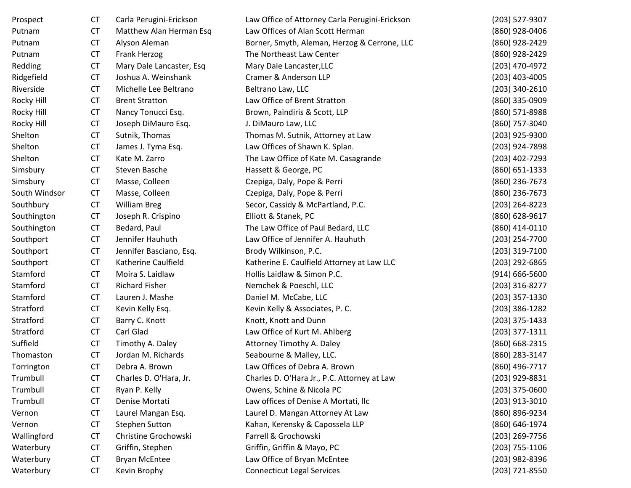| Prospect      | <b>CT</b> | Carla Perugini-Erickson  | Law Office of Attorney Carla Perugini-Erickson | (203) 527-9307     |
|---------------|-----------|--------------------------|------------------------------------------------|--------------------|
| Putnam        | <b>CT</b> | Matthew Alan Herman Esq  | Law Offices of Alan Scott Herman               | (860) 928-0406     |
| Putnam        | <b>CT</b> | Alyson Aleman            | Borner, Smyth, Aleman, Herzog & Cerrone, LLC   | (860) 928-2429     |
| Putnam        | <b>CT</b> | Frank Herzog             | The Northeast Law Center                       | (860) 928-2429     |
| Redding       | <b>CT</b> | Mary Dale Lancaster, Esq | Mary Dale Lancaster, LLC                       | (203) 470-4972     |
| Ridgefield    | <b>CT</b> | Joshua A. Weinshank      | Cramer & Anderson LLP                          | $(203)$ 403-4005   |
| Riverside     | <b>CT</b> | Michelle Lee Beltrano    | Beltrano Law, LLC                              | $(203)$ 340-2610   |
| Rocky Hill    | <b>CT</b> | <b>Brent Stratton</b>    | Law Office of Brent Stratton                   | (860) 335-0909     |
| Rocky Hill    | <b>CT</b> | Nancy Tonucci Esq.       | Brown, Paindiris & Scott, LLP                  | (860) 571-8988     |
| Rocky Hill    | <b>CT</b> | Joseph DiMauro Esq.      | J. DiMauro Law, LLC                            | (860) 757-3040     |
| Shelton       | <b>CT</b> | Sutnik, Thomas           | Thomas M. Sutnik, Attorney at Law              | (203) 925-9300     |
| Shelton       | <b>CT</b> | James J. Tyma Esq.       | Law Offices of Shawn K. Splan.                 | (203) 924-7898     |
| Shelton       | <b>CT</b> | Kate M. Zarro            | The Law Office of Kate M. Casagrande           | (203) 402-7293     |
| Simsbury      | <b>CT</b> | Steven Basche            | Hassett & George, PC                           | (860) 651-1333     |
| Simsbury      | <b>CT</b> | Masse, Colleen           | Czepiga, Daly, Pope & Perri                    | (860) 236-7673     |
| South Windsor | <b>CT</b> | Masse, Colleen           | Czepiga, Daly, Pope & Perri                    | (860) 236-7673     |
| Southbury     | <b>CT</b> | <b>William Breg</b>      | Secor, Cassidy & McPartland, P.C.              | (203) 264-8223     |
| Southington   | <b>CT</b> | Joseph R. Crispino       | Elliott & Stanek, PC                           | (860) 628-9617     |
| Southington   | <b>CT</b> | Bedard, Paul             | The Law Office of Paul Bedard, LLC             | (860) 414-0110     |
| Southport     | <b>CT</b> | Jennifer Hauhuth         | Law Office of Jennifer A. Hauhuth              | (203) 254-7700     |
| Southport     | <b>CT</b> | Jennifer Basciano, Esq.  | Brody Wilkinson, P.C.                          | $(203)$ 319-7100   |
| Southport     | <b>CT</b> | Katherine Caulfield      | Katherine E. Caulfield Attorney at Law LLC     | (203) 292-6865     |
| Stamford      | <b>CT</b> | Moira S. Laidlaw         | Hollis Laidlaw & Simon P.C.                    | $(914) 666 - 5600$ |
| Stamford      | <b>CT</b> | <b>Richard Fisher</b>    | Nemchek & Poeschl, LLC                         | (203) 316-8277     |
| Stamford      | <b>CT</b> | Lauren J. Mashe          | Daniel M. McCabe, LLC                          | $(203)$ 357-1330   |
| Stratford     | <b>CT</b> | Kevin Kelly Esq.         | Kevin Kelly & Associates, P. C.                | $(203)$ 386-1282   |
| Stratford     | <b>CT</b> | Barry C. Knott           | Knott, Knott and Dunn                          | $(203)$ 375-1433   |
| Stratford     | <b>CT</b> | Carl Glad                | Law Office of Kurt M. Ahlberg                  | $(203)$ 377-1311   |
| Suffield      | <b>CT</b> | Timothy A. Daley         | Attorney Timothy A. Daley                      | (860) 668-2315     |
| Thomaston     | <b>CT</b> | Jordan M. Richards       | Seabourne & Malley, LLC.                       | (860) 283-3147     |
| Torrington    | <b>CT</b> | Debra A. Brown           | Law Offices of Debra A. Brown                  | (860) 496-7717     |
| Trumbull      | <b>CT</b> | Charles D. O'Hara, Jr.   | Charles D. O'Hara Jr., P.C. Attorney at Law    | (203) 929-8831     |
| Trumbull      | <b>CT</b> | Ryan P. Kelly            | Owens, Schine & Nicola PC                      | $(203)$ 375-0600   |
| Trumbull      | <b>CT</b> | Denise Mortati           | Law offices of Denise A Mortati, llc           | $(203)$ 913-3010   |
| Vernon        | <b>CT</b> | Laurel Mangan Esq.       | Laurel D. Mangan Attorney At Law               | (860) 896-9234     |
| Vernon        | <b>CT</b> | <b>Stephen Sutton</b>    | Kahan, Kerensky & Capossela LLP                | (860) 646-1974     |
| Wallingford   | <b>CT</b> | Christine Grochowski     | Farrell & Grochowski                           | (203) 269-7756     |
| Waterbury     | <b>CT</b> | Griffin, Stephen         | Griffin, Griffin & Mayo, PC                    | $(203)$ 755-1106   |
| Waterbury     | <b>CT</b> | <b>Bryan McEntee</b>     | Law Office of Bryan McEntee                    | (203) 982-8396     |
| Waterbury     | <b>CT</b> | Kevin Brophy             | <b>Connecticut Legal Services</b>              | (203) 721-8550     |